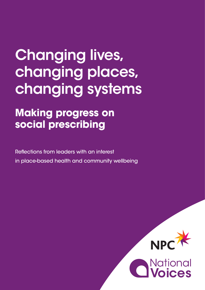# Changing lives, changing places, changing systems

# **Making progress on social prescribing**

Reflections from leaders with an interest in place-based health and community wellbeing

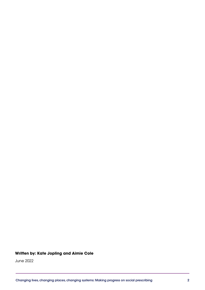## **Written by: Kate Jopling and Aimie Cole**

June 2022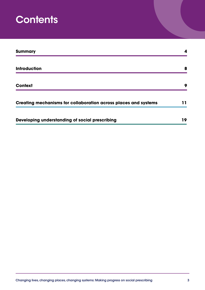# **Contents**

| <b>Summary</b>                                                  | 4  |
|-----------------------------------------------------------------|----|
| <b>Introduction</b>                                             | 8  |
| <b>Context</b>                                                  | 9  |
| Creating mechanisms for collaboration across places and systems | 11 |
| Developing understanding of social prescribing                  | 19 |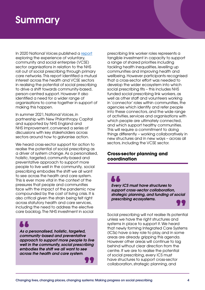# **Summary**

In 2020 National Voices published a [report](https://www.nationalvoices.org.uk/sites/default/files/public/publications/rolling_out_social_prescribing_-_september_2020_final.pdf) exploring the experience of voluntary, community and social enterprise (VCSE) sector organisations in relation to the NHS roll out of social prescribing through primary care networks. This report identified a mutual interest across the health and VCSE sectors in realising the potential of social prescribing to drive a shift towards community-based, person-centred support. However it also identified a need for a wider range of organisations to come together in support of making this happen.

In summer 2021, National Voices, in partnership with New Philanthropy Capital and supported by NHS England and NHS Improvement, convened a series of discussions with key stakeholders across sectors around how to galvanise action.

We heard cross-sector support for action to realise the potential of social prescribing as a driver of system change. As a personalised, holistic, targeted, community-based and preventative approach to support more people to live well in the community, social prescribing embodies the shift we all want to see across the health and care system. This is ever more vital in the context of the pressures that people and communities face with the impact of the pandemic now compounded by the cost of living crisis. It is also critical given the strain being felt right across statutory health and care services, including the need to address the elective care backlog. The NHS investment in social

*As a personalised, holistic, targeted, community-based and preventative approach to support more people to live well in the community, social prescribing embodies the shift we all want to see across the health and care system*.

prescribing link worker roles represents a tangible investment in capacity to support a range of shared priorities including tackling health inequalities, levelling up communities and improving health and wellbeing. However participants recognised that a cross-sector effort was needed to develop the wider ecosystem into which social prescribing fits – this includes NHS funded social prescribing link workers, as well as other staff and volunteers working in 'connector' roles within communities, the agencies which identify and refer people into these connectors, and the wide range of activities, services and organisations with which people are ultimately connected, and which support healthy communities. This will require a commitment to doing things differently – working collaboratively in new structures and in new ways – across all sectors, including the VCSE sector.

## **Cross-sector planning and coordination**

## <u>i l</u>

*Every ICS must have structures to support cross-sector collaboration, strategic planning, and funding of social prescribing ecosystems.*

Social prescribing will not realise its potential unless we have the right structures and systems in place to support it. We heard that newly forming Integrated Care Systems (ICSs) have a key role to play, and in some areas are already gripping this agenda. However other areas will continue to lag behind without clear direction from the centre. If we are to realise the potential of social prescribing, every ICS must have structures to support cross-sector collaboration, strategic planning, and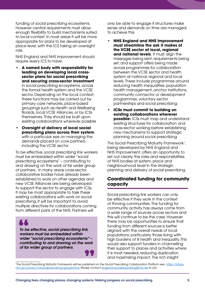funding of social prescribing ecosystems. However central requirements must allow enough flexibility to build mechanisms suited to local context. In most areas it will be more appropriate for plans to be developed at place level, with the ICS taking an oversight role.

NHS England and NHS Improvement should require every ICS to have:

- **• A named body with responsibility for leading on developing local crosssector plans for social prescribing and securing cross-sector investment** in social prescribing ecosystems, across the formal health system and the VCSE sector. Depending on the local context, these functions may be carried out by primary care networks, place-based groupings such as Health and Wellbeing Boards, local VCSE Alliances, or by ICSs themselves. They should be built upon existing collaborations wherever possible
- **• Oversight of delivery of local social prescribing plans across their system**, with a particular eye on managing the demands placed on core partners, including the VCSE sector

To be effective, social prescribing link workers must be embedded within wider "social prescribing ecosystems" – contributing to and drawing on the work of far wider group of partners. In many areas cross-sector collaborative bodies have already been established to work on other agendas and new VCSE Alliances are being developed to support the sector to engage with ICSs. It may be most appropriate to task these existing collaborations with work on social prescribing. It will be important to avoid multiple directives for collaborations coming from different parts of the NHS. Partners will

*To be effective, social prescribing link workers must be embedded within wider "social prescribing ecosystems" – contributing to and drawing on the work of far wider group of partners.*

only be able to engage if structures make sense and demands on time are managed. To achieve this:

- **• NHS England and NHS Improvement must streamline the ask it makes of the VCSE sector at local, regional and national levels**: It must align the messages being sent, requirements being set, and support offers being made across programmes for collaboration between the VCSE sector and health system at national, regional and local levels. These include programmes around reducing health inequalities, population health management, anchor institutions, community connector or development programmes, voluntary sector partnerships and social prescribing
- **• ICSs must commit to building on existing collaborations wherever possible:** ICSs must map and understand existing structures for collaboration and cross-sector working before establishing new mechanisms to support strategic planning around social prescribing

The Social Prescribing Maturity Framework<sup>1</sup>, being developed by NHS England and NHS Improvement, offers an opportunity to set out clearly the roles and responsibilities of NHS bodies at system, place and neighbourhood level in the strategic planning and delivery of social prescribing.

## **Coordinated funding for community capacity**

Social prescribing link workers can only be effective if they work in the context of thriving communities. The funding for community activity has always come from a wide range of sources across sectors and this will continue to be the case. However there may be opportunities to ensure that funding from different sources is better aligned with the overall needs of local populations, particularly those living with high burdens of ill health and inequality. This would also support funders in channelling their support to places and activities where it is most needed, reducing duplication and maximising impact. The rich insight

The Social Prescribing Maturity Framework will be published on the Social Prescribing Collaboration Platform see: [https://future.]( https://future.nhs.uk/connect.ti/socialprescribing/grouphome) [nhs.uk/connect.ti/socialprescribing/grouphome.]( https://future.nhs.uk/connect.ti/socialprescribing/grouphome) Please contact [england.socialprescribing@nhs.net](mailto:england.socialprescribing%40nhs.net?subject=) to join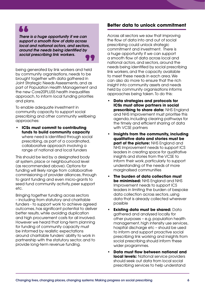**A** 

*There is a huge opportunity if we can support a smooth flow of data across local and national actors, and sectors, around the needs being identified by social prescribing link workers.*

being generated by link workers and held by community organisations, needs to be brought together with data gathered in Joint Strategic Needs Assessments, and as part of Population Health Management and the new Core20PLUS5 health inequalities approach, to inform local funding priorities and plans.

To enable adequate investment in community capacity to support social prescribing and other community wellbeing approaches:

**• ICSs must commit to contributing funds to build community capacity** where need is identified through social prescribing, as part of a coordinated, collaborative approach involving a range of national and local funders

This should be led by a designated body at system, place or neighbourhood level (as recommended above). Options for funding will likely range from collaborative commissioning of provider alliances, through to grant funding and even micro-grants to seed fund community activity, peer support etc.

Bringing together funding across sectors – including from statutory and charitable funders - to support work to achieve agreed outcomes, has significant potential to deliver better results, while avoiding duplication and high procurement costs for all involved. However we heard that long-term planning for funding of community capacity must be informed by realistic expectations around charitable funders' ability to work in partnership with the statutory sector, and to provide long-term revenue funding.

## **Better data to unlock commitment**

Across all sectors we saw that improving the flow of data into and out of social prescribing could unlock strategic commitment and investment. There is a huge opportunity if we can support a smooth flow of data across local and national actors, and sectors, around the needs being identified by social prescribing link workers, and the capacity available to meet these needs in each area. We can also do more to ensure that the rich insight into community assets and needs held by community organisations informs approaches being taken. To do this:

- **• Data strategies and protocols for ICSs must allow partners in social prescribing to share data:** NHS England and NHS Improvement must prioritise this agenda, including clearing pathways for the timely and efficient sharing of data with VCSE partners
- **• Insights from the community, including qualitative data and stories must be part of the picture:** NHS England and NHS Improvement needs to support ICS leaders in creating space for qualitative insights and stories from the VCSE to inform their work, particularly to support understanding of the needs of more marginalised communities
- **• The burden of data collection must be minimised:** NHS England and NHS Improvement needs to support ICS leaders in limiting the burden of bespoke data collection across sectors, using data that is already collected wherever possible
- **• Existing data must be shared:** Data gathered and analysed locally for other purposes – e.g. population health management, high intensity use services, hospital discharge etc – should be used to inform and support proactive social prescribing link working and insights from social prescribing should inform these wider programmes.
- **• Data must flow between national and local levels:** National service providers should seek out data from local social prescribing services to help understand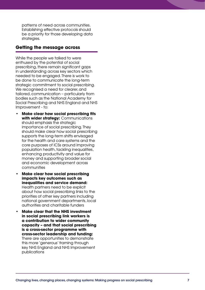patterns of need across communities. Establishing effective protocols should be a priority for those developing data strategies.

## **Getting the message across**

While the people we talked to were enthused by the potential of social prescribing, there remain significant gaps in understanding across key sectors which needed to be engaged. There is work to be done to communicate the long-term strategic commitment to social prescribing. We recognised a need for clearer, and tailored, communication – particularly from bodies such as the National Academy for Social Prescribing and NHS England and NHS Improvement - to:

- **• Make clear how social prescribing fits with wider strategy:** Communications should emphasis the strategic importance of social prescribing. They should make clear how social prescribing supports the long-term shifts envisaged for the health and care systems and the core purposes of ICSs around improving population health, tackling inequalities, enhancing productivity and value for money and supporting broader social and economic development across communities
- **• Make clear how social prescribing impacts key outcomes such as inequalities and service demand:**  Health partners need to be explicit about how social prescribing links to the priorities of other key partners including national government departments, local authorities and charitable funders
- **• Make clear that the NHS investment in social prescribing link workers is a contribution to wider community capacity – and that social prescribing is a cross-sector programme with cross-sector leadership and funding:**  There are opportunities to demonstrate this more 'generous' framing through key NHS England and NHS Improvement publications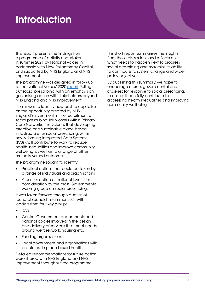# **Introduction**

This report presents the findings from a programme of activity undertaken in summer 2021 by National Voices in partnership with New Philanthropy Capital, and supported by NHS England and NHS Improvement.

The programme was designed in follow up to the National Voices' 2020 [report](http://www.nationalvoices.org.uk/sites/default/files/public/publications/rolling_out_social_prescribing_-_september_2020_final.pdf) Rolling out social prescribing, with an emphasis on galvanising action with stakeholders beyond NHS England and NHS Improvement.

Its aim was to identify how best to capitalise on the opportunity created by NHS England's investment in the recruitment of social prescribing link workers within Primary Care Networks. The vision is that developing effective and sustainable place-based infrastructure for social prescribing, within newly forming Integrated Care Systems (ICSs), will contribute to work to reduce health inequalities and improve community wellbeing, as well as to a range of other mutually valued outcomes.

The programme sought to identify:

- Practical actions that could be taken by a range of individuals and organisations
- Areas for action at national level for consideration by the cross-Governmental working group on social prescribing.

It was taken forward through a series of roundtables held in summer 2021 with leaders from four key groups:

- ICSs
- Central Government departments and national bodies involved in the design and delivery of services that meet needs around welfare, work, housing etc.
- Funding organisations
- Local government and organisations with an interest in place-based health

Detailed recommendations for future action were shared with NHS England and NHS Improvement throughout the programme.

This short report summarises the insights from those discussions and reflects on what needs to happen next to progress social prescribing and maximise its ability to contribute to system change and wider policy objectives.

By publishing this summary, we hope to encourage a cross-governmental and cross-sector response to social prescribing, to ensure it can fully contribute to addressing health inequalities and improving community wellbeing.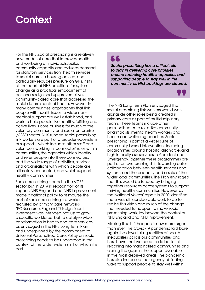# **Context**

For the NHS, social prescribing is a relatively new model of care that improves health and wellbeing of individuals, builds community capacity and reduces demand for statutory services from health services, to social care, to housing advice, and particularly reduces pressure on GPs. It sits at the heart of NHS ambitions for system change as a practical embodiment of personalised, joined up, preventative, community-based care that addresses the social determinants of health. However, in many communities, approaches that link people with health issues to wider nonmedical support are well established, and work to help people live healthy, fulfilling and active lives is core business for much of the voluntary, community and social enterprise (VCSE) sector. NHS funded social prescribing link workers are part of a broader ecosystem of support – which includes other staff and volunteers working in 'connector' roles within communities, the agencies which identify and refer people into these connectors, and the wide range of activities, services and organisations with which people are ultimately connected, and which support healthy communities.

Social prescribing started in the VCSE sector, but in 2019 in recognition of its impact, NHS England and NHS Improvement made it national policy to reimburse the cost of social prescribing link workers recruited by primary care networks (PCNs) across England. This significant investment was intended not just to grow a specific workforce, but to catalyse wider transformation in health and care services as envisaged in the NHS Long Term Plan, and underpinned by the commitment to Universal Personalised Care. Policy on social prescribing needs to be understood in the context of the wider system shift of which it is part.

*Social prescribing has a critical role to play in delivering core priorities around reducing health inequalities and supporting people to stay well in the community as NHS backlogs are cleared.*



The NHS Long Term Plan envisaged that social prescribing link workers would work alongside other roles being created in primary care as part of multidisciplinary teams. These teams include other personalised care roles like community pharmacists, mental health workers and health and wellbeing coaches. Social prescribing is part of a wider suite of community-based interventions including programmes around hospital discharge, and high intensity use services in Accident and Emergency. Together these programmes are part of an overarching shift towards greater collaboration between health services and systems and the capacity and assets of their wider local communities. The Plan envisaged that this would be funded by bringing together resources across systems to support thriving healthy communities. However, as the National Voices' report in 2020 identified, there was still considerable work to do to realise this vision and much of the change that needed to happen to make social prescribing work, lay beyond the control of NHS England and NHS Improvement.

Making this shift happen is now more urgent than ever. The Covid-19 pandemic laid bare again the devastating realities of health inequalities across our communities and has shown that we need to do better at reaching into marginalised communities and closing the gaps in the support available in the most deprived areas. The pandemic has also increased the urgency of finding ways to support people to stay well within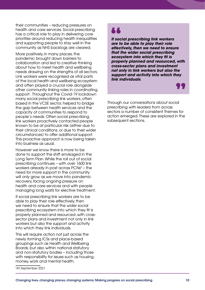their communities – reducing pressures on health and care services. Social prescribing has a critical role to play in delivering core priorities around reducing health inequalities and supporting people to stay well in the community as NHS backlogs are cleared.

More positively, in many places, the pandemic brought down barriers to collaboration and led to creative thinking about how to meet health and wellbeing needs drawing on the strengths of all sectors. Link workers were recognised as vital parts of the local health and wellbeing ecosystem and often played a crucial role alongside other community linking roles in coordinating support. Throughout the Covid-19 lockdown many social prescribing link workers, often based in the VCSE sector, helped to bridge the gap between health services and the capacity of communities to respond to people's needs. Often social prescribing link workers proactively contacted people known to be at particular risk (either due to their clinical conditions, or due to their wider circumstances) to offer additional support. This proactive approach is now being taken into business as usual.

However we know there is more to be done to support the shift envisaged in the Long Term Plan. While the roll out of social prescribing continues – with over 1600 link workers already in post across  $PCNs^2$  – the need for more support in the community will only grow as we move into pandemic recovery, facing ongoing pressure on health and care services and with people managing long waits for elective treatment.

If social prescribing link workers are to be able to play their role effectively, then we need to ensure that the wider social prescribing ecosystem into which they fit is properly planned and resourced, with crosssector plans and investment not only in link workers but also the support and activity into which they link individuals.

This will require action not just across the newly forming ICSs and place-based groupings such as Health and Wellbeing Boards, but also within national statutory and non-statutory bodies – including those with responsibility for issues such as housing, money, work and mental health.

## **AA**

*If social prescribing link workers are to be able to play their role effectively, then we need to ensure that the wider social prescribing ecosystem into which they fit is properly planned and resourced, with cross-sector plans and investment not only in link workers but also the support and activity into which they link individuals*.

Through our conversations about social prescribing with leaders from across sectors a number of consistent themes for action emerged. These are explored in the subsequent sections.

<sup>2</sup> At September 2021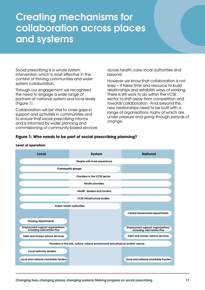# Creating mechanisms for collaboration across places and systems

Social prescribing is a whole system intervention which is most effective in the context of thriving communities and wider system collaboration.

Through our engagement we recognised the need to engage a wide range of partners at national, system and local levels (Figure 1).

Collaboration will be vital to close gaps in support and activities in communities and to ensure that social prescribing informs and is informed by wider planning and commissioning of community-based services across health, care, local authorities and beyond.

However we know that collaboration is not easy – it takes time and resource to build relationships and establish ways of working. There is still work to do within the VCSE sector to shift away from competition and towards collaboration. And, beyond this, new relationships need to be built with a range of organisations, many of which are under pressure and going through periods of change.

## **Figure 1: Who needs to be part of social prescribing planning?**

### **Level of operation:**

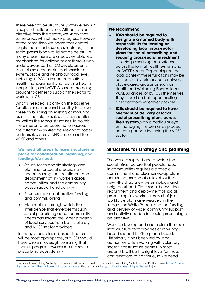There need to be structures, within every ICS, to support collaboration. Without a clear directive from the centre, we know that some areas will not make progress. However at the same time we heard that central requirements for bespoke structures just for social prescribing would not be helpful. In many areas there are already established mechanisms for collaboration; there is work underway, as part of ICS development, to establish cross-sector partnerships at system, place and neighbourhood level, including in PCNs around population health management and tackling health inequalities; and VCSE Alliances are being brought together to support the sector to work with ICSs.

What is needed is clarity on the baseline functions required, and flexibility to deliver these by building on existing community assets – the relationships and connections as well as the formal structures. To do this there needs to be coordination across the different workstreams seeking to foster partnerships across NHS bodies and the VCSE and others.

## **We need all areas to have structures in place for collaboration, planning, and funding. We need**:

- Structures to enable strategy and planning for social prescribing encompassing the recruitment and deployment of link workers across communities, and the communitybased support and activity
- Structures for collaborative funding and commissioning
- Mechanisms through which the intelligence that emerges through social prescribing about community needs can inform the wider provision of local services from both statutory and VCSE sector providers.

In many areas, place-based structures will be most appropriate, but ICSs should have a role in oversight, ensuring that there is progress towards mature social prescribing ecosystems.2

## **We recommend:**

- **– ICSs should be required to designate a named body with responsibility for leading on developing local cross-sector plans for social prescribing and securing cross-sector investment** in social prescribing ecosystems, across the formal health system and the VCSE sector. Depending on the local context, these functions may be carried out by primary care networks, place-based groupings such as Health and Wellbeing Boards, local VCSE Alliances, or by ICSs themselves. They should be built upon existing collaborations wherever possible
- **– ICSs should be required to have oversight of delivery of local social prescribing plans across their system**, with a particular eye on managing the demands placed on core partners including the VCSE sector

## **Structures for strategy and planning**

The work to support and develop the social infrastructure that people need in communities requires a strategic commitment and clear joined-up plans across sectors and at all levels of the new NHS structure – system, place and neighbourhood. Plans should cover the recruitment and deployment of social prescribing link workers (as part of joint workforce plans as envisaged in the Integration White Paper), and the funding and delivery of wider community support and activity needed for social prescribing to be effective.

Work to develop and and sustain the social infrastructure that provides communitybased support is often place-based. Historically it has been led by local authorities, often working with voluntary sector infrastructure bodies. In most areas this will be the right level for these conversations to continue, so we need

<sup>&</sup>lt;sup>3</sup>The Social Prescribing Maturity Framework will be published on the Social Prescribing Collaboration Platform see: <u>[https://future.]( https://future.nhs.uk/connect.ti/socialprescribing/grouphome)</u> [nhs.uk/connect.ti/socialprescribing/grouphome.]( https://future.nhs.uk/connect.ti/socialprescribing/grouphome) Please contact [england.socialprescribing@nhs.net](mailto:england.socialprescribing%40nhs.net?subject=) to join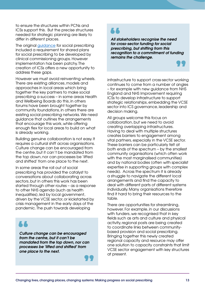to ensure the structures within PCNs and ICSs support this. But the precise structures needed for strategic planning are likely to differ in different places.

The original [guidance](https://www.england.nhs.uk/wp-content/uploads/2020/06/social-prescribing-summary-guide-updated-june-20.pdf) for social prescribing included a requirement for shared plans for social prescribing to be developed by clinical commissioning groups. However implementation has been patchy. The creation of ICSs offers a new opportunity to address these gaps.

However we must avoid reinventing wheels. There are existing alliances, models and approaches in local areas which bring together the key partners to make social prescribing a success – in some areas Health and Wellbeing Boards do this, in others forums have been brought together by community foundations, in others there are existing social prescribing networks. We need guidance that outlines the arrangements that encourage this work, while offering enough flex for local areas to build on what is already working.

Building genuine collaboration is not easy. It requires a cultural shift across organisations. Culture change can be encouraged from the centre, but it can't be mandated from the top down, nor can processes be 'lifted and shifted' from one place to the next.

In some areas the roll out of social prescribing has provided the catalyst to conversations about collaborating across sectors, but in others this work has been started through other routes – as a response to other NHS agenda (such as health inequalities), led by local government, driven by the VCSE sector, or kickstarted by crisis management in the early days of the pandemic. The push towards developing

*Culture change can be encouraged from the centre, but it can't be mandated from the top down, nor can processes be 'lifted and shifted' from one place to the next.* 

## AA

*All stakeholders recognise the need for cross-sector funding for social prescribing, but shifting from this recognition to a commitment of funding remains the challenge.* 

infrastructure to support cross-sector working continues to come from a number of angles – for example with new guidance from NHS England and NHS Improvement requiring ICSs to develop infrastructure to support strategic relationships, embedding the VCSE sector into ICS governance, leadership and decision making.

All groups welcome this focus on collaboration, but we need to avoid creating overlapping infrastructures. Having to deal with multiple structures creates barriers to engagement among vital partners, especially in the VCSE sector. These barriers can be particularly felt at both ends of the spectrum – by the smallest community organisations (which often work with the most marginalised communities) and by national bodies (often with specialist expertise in supporting groups with complex needs). Across the spectrum it is already a struggle to navigate the different local arrangements and find the capacity to deal with different parts of different systems individually. Many organisations therefore find it hard to bring their resources to the table.

There are opportunities for streamlining, however. For example, in our discussions with funders, we recognised that in key fields such as arts and culture and physical activity, regional posts are being created to coordinate links between communitybased provision and social prescribing. Bringing together this newly created regional capacity and resource may offer one solution to capacity constraints that limit VCSE sector engagement with key structures at present.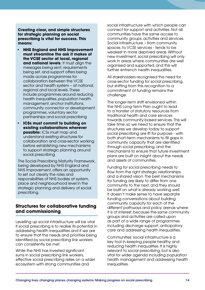**Creating clear, and simple structures for strategic planning on social prescribing is vital for success. This means:**

- **• NHS England and NHS Improvement must streamline the ask it makes of the VCSE sector at local, regional and national levels**: It must align the messages being sent, requirements being set, and support offers being made across programmes for collaboration between the VCSE sector and health system – at national, regional and local levels. These include programmes around reducing health inequalities, population health management, anchor institutions, community connector or development programmes, voluntary sector partnerships and social prescribing
- **• ICSs must commit to building on existing collaborations wherever possible:** ICSs must map and understand existing structures for collaboration and cross-sector working before establishing new mechanisms to support strategic planning around social prescribing

The Social Prescribing Maturity Framework, being developed by NHS England and NHS Improvement, offers an opportunity to set out clearly the roles and responsibilities of NHS bodies at system, place and neighbourhood level in the strategic planning and delivery of social prescribing.

## **Structures for collaborative funding and commissioning**

Levelling up social infrastructure will be vital if social prescribing is to realise its potential in addressing health inequalities and if we are to ensure that the needs and priorities being identified by social prescribing link workers can consistently be met.

While the NHS has invested significant sums in social prescribing link workers, effective social prescribing relies on a wider ecosystem with strong communities and

social infrastructure with which people can connect for support and activities. Not all communities have the same access to community groups, activities and services. Social infrastructure – from community spaces, to VCSE services - tends to be weakest in more deprived areas. Without new investment, social prescribing will only work in areas where communities are well organised and supported, and this will further entrench health inequalities.

All stakeholders recognised the need for cross-sector funding for social prescribing, but shifting from this recognition to a commitment of funding remains the challenge.

The longer-term shift envisioned within the NHS Long-Term Plan ought to lead to a transfer of statutory resources from traditional health and care services towards community-based services. This will take time, so we need to ensure that the structures we develop today to support social prescribing are fit for purpose - with both short-term mechanisms to fill gaps in community capacity that are identified through social prescribing, and the mechanisms to ensure that future investment plans are built on insight about the needs and assets of communities.

Funding for social prescribing needs to flow from the right strategic relationships and a shared vision. The best mechanisms for funding are likely to differ from one community to the next, and they should be built on what is already working well. It doesn't make sense to have separate funding conversations about building community capacity for each of the different pathways and policy arenas where it is of interest, because the same community groups and activities are called upon as part of a wide range of programmes including discharge support, anticipatory care and addressing health inequalities.

Communities' social infrastructure is a key tool in keeping people healthy and reducing health inequalities. It is highly relevant to social prescribing, but is also vital for wider agenda including population health management and addressing health inequalities.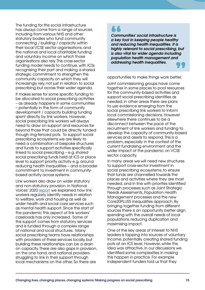The funding for this social infrastructure has always come from a range of sources, including from various NHS and other statutory bodies who fund community connecting / building / capacity within their local VCSE sector organisations, and the national and local charitable funding and voluntary income on which those organisations also rely. This cross-sector funding model needs to continue, with ICSs recognising their part and making a shared strategic commitment to strengthen this community capacity on which they will increasingly rely, not just in relation to social prescribing but across their wider agenda.

It makes sense for some specific funding to be allocated to social prescribing activities – as already happens in some communities – potentially in the form of community development / capacity building funding spent directly by link workers. However, social prescribing link workers will always need to draw on support and resources far beyond those that could be directly funded though ring-fenced pots. To support social prescribing ecosystems we are likely to need a combination of bespoke structures and funds to support activities specifically linked to social prescribing – e.g. shared social prescribing funds held at ICS or place level to support priority activity e.g. around reducing health inequalities – and a broader commitment to investment in communitybased activity across systems.

Link workers also draw on wider statutory and non-statutory provision. In National Voices' 2020 [report](https://www.nationalvoices.org.uk/sites/default/files/public/publications/rolling_out_social_prescribing_-_september_2020_final.pdf) we explained how link workers regularly identify needs in relation to welfare, work and housing as well as wider health and social care services such as mental health support. Since the start of the pandemic this aspect of link workers' caseloads has only increased. Some of this support comes from statutory services and is funded through a complex range of national and local structures. Many social prescribing teams have relationships with providers of these services locally, but building these relationships can be a drain on capacity. There are also gaps in provision, on the one hand, and national providers struggling to link in their support through local mechanisms on the other. So there are

*Communities' social infrastructure is a key tool in keeping people healthy and reducing health inequalities. It is highly relevant to social prescribing, but is also vital for wider agenda including population health management and addressing health inequalities.* 

opportunities to make things work better.

Joint commissioning groups have come together in some places to pool resources for the community-based activities and support social prescribing identifies as needed, in other areas there are plans to use evidence emerging from the social prescribing link workers to inform local commissioning decisions. However elsewhere there continues to be a disconnect between the pace of the recruitment of link workers and funding to develop the capacity of community-based services and assets to respond. This is a problem, especially in the context of the current fundraising environment and the wider impact of the pandemic on VCSE sector capacity.

In many areas we will need new structures to support cross-sector investment in social prescribing ecosystems, to ensure that funds are channelled towards the places and activities where they are most needed, and in line with priorities identified through processes such as Joint Strategic Needs Assessments, Population Health Management processes and the new Core20PLUS5 inequalities approach. By bringing together funding from different sources there is an opportunity better align spending with the overall needs of local populations, reducing duplication and maximising impact.

One of the key areas of interest to NHS leaders is tapping into sources of voluntary income, potentially creating shared funding pots at an ICS level. However, while this idea was attractive, in our discussions we identified some complexities in making this happen in practice. For example independent funders told us that they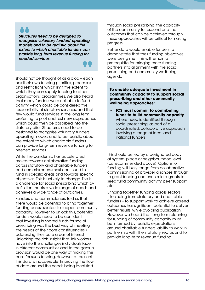*Structures need to be designed to recognise voluntary funders' operating models and to be realistic about the extent to which charitable funders can provide long-term revenue funding for needed services.*

should not be thought of as a bloc – each has their own funding priorities, processes and restrictions which limit the extent to which they can supply funding to other organisations' programmes. We also heard that many funders were not able to fund activity which could be considered the responsibility of statutory services, and that few would fund services in the long term, preferring to pilot and test new approaches which could then be absorbed into the statutory offer. Structures need to be designed to recognise voluntary funders' operating models and to be realistic about the extent to which charitable funders can provide long-term revenue funding for needed services.

While the pandemic has accelerated moves towards collaborative funding across statutory and charitable funders and commissioners, most continued to fund in specific areas and towards specific objectives. This is unlikely to change. This is a challenge for social prescribing which by definition meets a wide range of needs and achieves a wide range of outcomes.

Funders and commissioners told us that there would be potential to bring together funding across sectors to support community capacity. However, to unlock this, potential funders would need to be confident that investing in shared funds for social prescribing was the best way of meeting the needs of their core constituencies / addressing their core areas of interest. Unlocking the rich insight that link workers have into the challenges individuals face in different communities and to the gaps in provision would be one way of making the case for such funding. However at present this data is inaccessible. Improving the flow of data around the needs being identified

through social prescribing, the capacity of the community to respond and the outcomes that can be achieved through these approaches will be critical to making progress.

Better data would enable funders to demonstrate that their funding objectives were being met. This will remain a prerequisite for bringing more funding partners into alignment with the social prescribing and community wellbeing agenda.

**To enable adequate investment in community capacity to support social prescribing and other community wellbeing approaches:**

**• ICS must commit to contributing funds to build community capacity** where need is identified through social prescribing, as part of a coordinated, collaborative approach involving a range of local and national funders

This should be led by a designated body at system, place or neighbourhood level (as recommended above). Options for funding will likely range from collaborative commissioning of provider alliances, through to grant funding and even micro-grants to seed fund community activity, peer support etc.

Bringing together funding across sectors – including from statutory and charitable funders – to support work to achieve agreed outcomes has significant potential to deliver better results, while avoiding duplication. However we heard that long-term planning for funding of community capacity must be informed by realistic expectations around charitable funders' ability to work in partnership with the statutory sector, and to provide long-term revenue funding.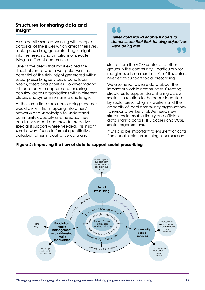## **Structures for sharing data and insight**

As an holistic service, working with people across all of the issues which affect their lives, social prescribing generates huge insight into the needs and ambitions of people living in different communities.

One of the areas that most excited the stakeholders to whom we spoke, was the potential of the rich insight generated within social prescribing services around local needs, assets and priorities. However making this data easy to capture and ensuring it can flow across organisations within different places and systems remains a challenge.

At the same time social prescribing schemes would benefit from tapping into others' networks and knowledge to understand community capacity and need, so they can tailor support and provide proactive specialist support where needed. This insight is not always found in formal quantitative data, but rather in qualitative data and

*Better data would enable funders to demonstrate that their funding objectives were being met.* 

stories from the VCSE sector and other groups in the community – particularly for marginalised communities. All of this data is needed to support social prescribing.

We also need to share data about the impact of work in communities. Creating structures to support data sharing across sectors, in relation to the needs identified by social prescribing link workers and the capacity of local community organisations to respond, will be vital. We need new structures to enable timely and efficient data sharing across NHS bodies and VCSE sector organisations.

It will also be important to ensure that data from local social prescribing schemes can

### More/better targeted support e.g. commissioning new services Social Prescribing Population health management and addressing health **inequalities** Local services can adapt to meet needs More up to date picture of priorities Richer insight **Community** based services Better targeted support, from generalist and specialist link workers Data and insight at local level Deal insight at national level O<sub>rio and insight at national level</sub> O<sub>ota and insight at name and level<br>and insight at system level</sub> Data and insight at local level <sup>D</sup>at<sup>a</sup> <sup>a</sup>n<sup>d</sup> <sup>i</sup>nsigh<sup>t</sup> <sup>a</sup><sup>t</sup> <sup>l</sup>oca<sup>l</sup> <sup>l</sup>eve<sup>l</sup> policy and funding priorities Data and insight at system level

## **Figure 2: Improving the flow of data to support social prescribing**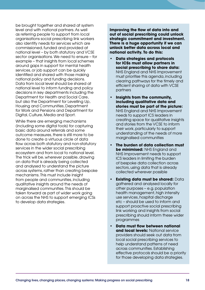be brought together and shared at system level and with national partners. As well as referring people to support from local organisations social prescribing link workers also identify needs for services which are commissioned, funded and provided at national level – by both statutory and VCSE sector organisations. We need to ensure – for example – that insights from local schemes around gaps in support for mental health services, or job support can be quickly identified and shared with those making national policy and funding decisions. Data from local level should be shared at national level to inform funding and policy decisions in key departments including the Department for Health and Social Care, but also the Department for Levelling Up, Housing and Communities, Department for Work and Pensions and Department for Digital, Culture, Media and Sport.

While there are emerging mechanisms (including some digital tools) for capturing basic data around referrals and some outcome measures, there is still more to be done to create a virtuous circle of data flow across both statutory and non-statutory services in the wider social prescribing ecosystem and from local to national level. The trick will be, wherever possible, drawing on data that is already being collected and analysed to understand the picture across systems, rather than creating bespoke mechanisms. This must include insight from people and communities, including qualitative insights around the needs of marginalised communities. This should be taken forward as part of wider work going on across the NHS to support emerging ICSs to develop data strategies.

**Improving the flow of data into and out of social prescribing could unlock strategic commitment and investment. There is a huge opportunity if we can unlock better data across local and national activity. To do this:**

- **• Data strategies and protocols for ICSs must allow partners in social prescribing to share data:**  NHS England and NHS Improvement must prioritise this agenda, including clearing pathways for the timely and efficient sharing of data with VCSE partners
- **• Insights from the community, including qualitative data and stories must be part of the picture:**  NHS England and NHS Improvement needs to support ICS leaders in creating space for qualitative insights and stories from the VCSE to inform their work, particularly to support understanding of the needs of more marginalised communities
- **• The burden of data collection must be minimised:** NHS England and NHS Improvement needs to support ICS leaders in limiting the burden of bespoke data collection across sectors, using data that is already collected wherever possible
- **Existing data must be shared: Data** gathered and analysed locally for other purposes – e.g. population health management, high intensity use services, hospital discharge etc – should be used to inform and support proactive social prescribing link working and insights from social prescribing should inform these wider programmes
- **• Data must flow between national and local levels:** National service providers should seek out data from local social prescribing services to help understand patterns of need across communities. Establishing effective protocols should be a priority for those developing data strategies.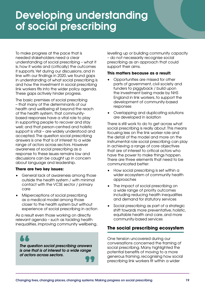# Developing understanding of social prescribing

To make progress at the pace that is needed stakeholders need a clear understanding of social prescribing – what it is, how it works and (critically) the outcomes it supports. Yet during our discussions, and in line with our findings in 2020, we found gaps in understanding of what social prescribing is and how the investment in social prescribing link workers fits into the wider policy agenda. These gaps actively hinder progress.

The basic premises of social prescribing – that many of the determinants of our health and wellbeing sit beyond the reach of the health system; that communitybased responses have a vital role to play in supporting people to recover and stay well; and that person-centred and holistic support is vital – are widely understood and accepted. The question social prescribing answers is one that is of interest to a wide range of actors across sectors. However awareness of social prescribing as a response to these issues remains low and discussions can be caught up in concern about language and leadership.

## **There are two key issues:**

- General lack of awareness among those outside the health system / with minimal contact with the VCSE sector / primary care
- Misperceptions of social prescribing as a medical model among those closer to the health system but without experience of social prescribing in action

As a result even those working on directly relevant agenda – such as tackling health inequalities, improving community wellbeing,



*The question social prescribing answers is one that is of interest to a wide range of actors across sectors.*

levelling up or building community capacity – do not necessarily recognise social prescribing as an approach that could support their aims.

## **This matters because as a result:**

- Opportunities are missed for other parts of government, civil society and funders to piggyback / build upon the investment being made by NHS England in link workers, to support the development of community-based responses
- Overlapping and duplicating solutions are developed in isolation

There is still work to do to get across what social prescribing is really about. This means focusing less on the link worker role and the detail of the model and more on the instrumental role social prescribing can play in achieving a range of core objectives that are of interest to critical actors who have the power to make things happen. There are three elements that need to be communicated better:

- How social prescribing is set within a wider ecosystem of community health approaches
- The impact of social prescribing on a wide range of priority outcomes including reducing health inequalities and demand for statutory services
- Social prescribing as part of a strategic shift towards more preventative, holistic, equitable health and care, and more community-based services

## **The social prescribing ecosystem**

One tension uncovered during our conversations concerned the framing of social prescribing. Many highlighted the potential benefits of moving to a more generous framing, recognising how social prescribing link workers fit within a wider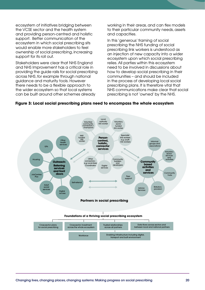ecosystem of initiatives bridging between the VCSE sector and the health system and providing person-centred and holistic support. Better communication of the ecosystem in which social prescribing sits would enable more stakeholders to feel ownership of social prescribing, increasing support for its roll out.

Stakeholders were clear that NHS England and NHS Improvement has a critical role in providing the guide rails for social prescribing across NHS, for example through national guidance and maturity tools. However there needs to be a flexible approach to the wider ecosystem so that local systems can be built around other schemes already

working in their areas, and can flex models to their particular community needs, assets and capacities.

In this 'generous' framing of social prescribing the NHS funding of social prescribing link workers is understood as an injection of new capacity into a wider ecosystem upon which social prescribing relies. All parties within this ecosystem need to be involved in discussions about how to develop social prescribing in their communities – and should be included in the process of developing local social prescribing plans. It is therefore vital that NHS communications make clear that social prescribing is not 'owned' by the NHS.



## **Figure 3: Local social prescribing plans need to encompass the whole ecosystem**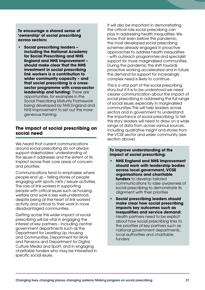**To encourage a shared sense of 'ownership' of social prescribing across sectors:**

**• Social prescribing leaders – including the National Academy for Social Prescribing and NHS England and NHS Improvement – should make clear that the NHS investment in social prescribing link workers is a contribution to wider community capacity – and that social prescribing is a crosssector programme with cross-sector leadership and funding:** There are opportunities, for examples in the Social Prescribing Maturity Framework being developed by NHS England and NHS Improvement to set out this more generous framing.

## **The impact of social prescribing on social need**

We heard that current communications around social prescribing do not always support stakeholders' understanding of the issues it addresses and the extent of its impact across their core areas of concern and priorities.

Communications tend to emphasise where people end up – telling stories of people engaging with sports /arts / leisure activities. The role of link workers in supporting people with critical issues such as housing, welfare and work is less well-understood, despite being at the heart of link workers' activity, and critical to their work in more disadvantaged communities.

Getting across this wider impact of social prescribing will be vital in engaging the interest of key partners – including central government departments such as the Department for Levelling Up, Housing and Communities, Department for Work and Pensions and Department for Digital, Culture Media and Sport; and in engaging charitable funders who may be interested in specific social issues.

It will also be important in demonstrating the critical role social prescribing can play in addressing health inequalities. We know that even before the pandemic, the most developed social prescribing schemes already engaged in proactive approaches to address health inequalities - with outreach programmes and specialist support for more marginalised communities. During the pandemic the shift towards proactive working accelerated and in future the demand for support for increasingly complex need is likely to continue.

This is a vital part of the social prescribing story, but if it is to be understood we need clearer communication about the impact of social prescribing in addressing the full range of social issues, especially in marginalised communities. This will help leaders across sectors and in government to understand the importance of social prescribing. To tell this story leaders will need to draw on a wide range of data from across various sources, including qualitative insight and stories from the VCSE sector and wider community (see section above).

## **To improve understanding of the impact of social prescribing:**

- **• NHS England and NHS Improvement should work with leadership bodies across local government, VCSE organisations and charitable funders** to develop tailored communications to raise awareness of social prescribing to demonstrate its alignment with their priorities
- **• Social prescribing leaders should make clear how social prescribing impacts key outcomes such as inequalities and service demand:**  Health partners need to be explicit about how social prescribing links to the priorities of key partners such as national government departments, local authorities and charitable funders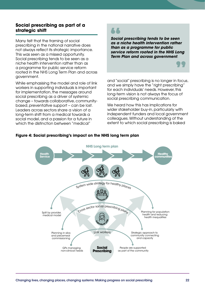## **Social prescribing as part of a strategic shift**

Many felt that the framing of social prescribing in the national narrative does not always reflect its strategic importance. This was seen as a missed opportunity. Social prescribing tends to be seen as a niche health intervention rather than as a programme for public service reform rooted in the NHS Long Term Plan and across government.

While emphasising the model and role of link workers in supporting individuals is important for implementation, the messages around social prescribing as a driver of systemic change – towards collaborative, communitybased, preventative support – can be lost. Leaders across sectors share a vision of a long-term shift from a medical towards a social model, and a passion for a future in which the distinction between "medical"

## A A

*Social prescribing tends to be seen as a niche health intervention rather than as a programme for public service reform rooted in the NHS Long Term Plan and across government*.

and "social" prescribing is no longer in focus, and we simply have the "right prescribing" for each individuals' needs. However, this long-term vision is not always the focus of social prescribing communication.

We heard how this has implications for wider stakeholder buy-in, particularly with independent funders and local government colleagues. Without understanding of the extent to which social prescribing is baked



## **Figure 4: Social prescribing's impact on the NHS long term plan**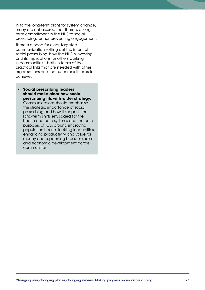in to the long-term plans for system change, many are not assured that there is a longterm commitment in the NHS to social prescribing, further preventing engagement.

There is a need for clear, targeted communication setting out the intent of social prescribing, how the NHS is investing, and its implications for others working in communities – both in terms of the practical links that are needed with other organisations and the outcomes it seeks to achieve**.** 

**• Social prescribing leaders should make clear how social prescribing fits with wider strategy:**  Communications should emphasise the strategic importance of social prescribing and how it supports the long-term shifts envisaged for the health and care systems and the core purposes of ICSs around improving population health, tackling inequalities, enhancing productivity and value for money and supporting broader social and economic development across communities